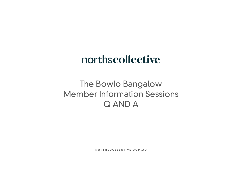NORTHSCOLLECTIVE.COM.AU

# northscollective

# The Bowlo Bangalow Member Information Sessions Q AND A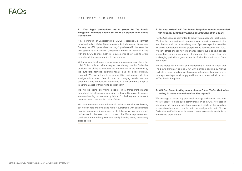#### SATURDAY, 2ND APRIL 2022

#### **2. To what extent will The Bowlo Bangalow remain connected with its local community should an amalgamation occur?**

Norths Collective is committed to achieving an absolute local focus. Whether this be recruitment, contractors and suppliers to name just a few, the focus will be on remaining local. Sponsorships that consider all locally connected affiliated groups will be addressed in the MOU. We can't stress enough how important a local focus is to us. Seagulls connection with its community throughout the recent two-year challenging period is a great example of why this is critical to Club operations.

We are happy for our staff and membership at large to know that The Bowlo Bangalow is locally run with a strong backing by Norths Collective. Local branding, local community, local event engagements, local sponsorships, local supply and local recruitment will all tie back to The Bowlo Bangalow.

#### **3. Will the Clubs trading hours change? Are Norths Collective willing to make commitments in this regard?**

We envisage a seven day per week trading environment and yes we are happy to make such commitments in an MOU. Increases in permanent full time and part-time roles as a result of this variation in operational approach coupled with the amalgamation with Norths Collective itself will see an increase in such roles made available to the existing team of staff.

#### **1. What legal protections are in place for The Bowlo Bangalow Members should an MOU be signed with Norths Collective?**

A Memorandum of Understanding (MOU) is essentially a contract between the two Clubs. Once approved by Independent Liquor and Gaming the MOU prescribes the ongoing relationship between the two parties. It is in Norths Collective's interest to operate in line with the MOU to meet both its requirements at law and to avoid reputational damage operating to the contrary.

With a proven track record in successful amalgamations where the child Club continues with a very strong identity, Norths Collective provides the ability to enhance the connection to the community, the outdoors, families, sporting teams and all locals currently engaged. We take a long term view of this relationship and other amalgamations when freehold land is changing hands. We are empathetic and completely understand it is an enormous step to transfer an asset of this kind to another party.

We will be doing everything possible in a transparent manner throughout the planning phase with The Bowlo Bangalow to ensure we are all setting this community hub up for the long term success it deserves from a masterplan point of view.

We have mentioned the fundamental business model is not broken, but we can help improve it and make it sustainable with considerable ongoing community investment, not to take away from other small businesses in the area but to protect the Clubs reputation and continue to nurture Bangalow as a family friendly, warm, welcoming place to visit.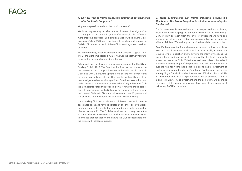### **4. Why are you at Norths Collective excited about partnering with The Bowlo Bangalow?**

Why are we passionate about this particular venue?

We have only recently revisited the exploration of amalgamation as a key part of our strategic growth. Our strategic plan reflects a more proactive approach. Both amalgamations with The Lane Cove Business Club in 2016 and The Beecroft Bowling and Recreation Club in 2021 were as a result of these Clubs sending out expressions of interest.

We, more recently, proactively approached Cudgen Leagues Club. The Board at the time decided Twin Towns was the best way forward, however the membership decided otherwise.

Additionally, we put forward an amalgamation offer for The Killara Bowling Club in 2019. The Board at the time decided it was in the best interest to put a proposal to the members that would see their Club land with 2.5 bowling greens sold off and the money earnt to be subsequently invested in The Linfield Bowling Club as their new amalgamated entity with significant Board representation. In a similar process to what was experienced at Cudgen Leagues Club the membership voted this proposal down. A newly formed Board is currently considering Norths Collective as a means for them to keep their current Club, with Club house investment, new tiff greens and a sustainable future respectful of their over 100 year history.

It is a bowling Club with a celebration of the outdoors which we are passionate about and have celebrated at our other sites with large outdoor spaces. It has a highly connected community with such a diverse demographic. The Club is much loved and is very relevant to its community. We are sure we can provide the investment necessary to enhance that connection and ensure the Club is sustainable into the future with increased support.

#### **5. What commitments can Norths Collective provide the Members of The Bowlo Bangalow in relation to upgrading the Clubhouse?**

Capital investment is a necessity from our perspective for compliance, sustainability and keeping the property relevant for the community. Comfort may be taken from the level of investment we have and continue to put into our Clubs post amalgamation which is in the millions of dollars. We are happy to provide financial evidence of this.

Bars, Kitchens, new furniture where necessary and bathroom facilities alone will see investment push past \$1m very quickly to meet our required level of operation and to bring to life many of the ideas the existing Board and management team have that the local community may wish to see in the Club. Whilst future works are to be confirmed and costed at this early stage of the process, there will be a commitment over the next ten years that identifies a strong capital investment of works to be managed under a Complying Development Certificate, not requiring a DA which can be drawn out or difficult to obtain quickly at times. Prior to an MOU, expected costs will be available. We take a long term view of Club investment and the community will be made very aware of the plans we have and how much things would cost before any MOU is considered.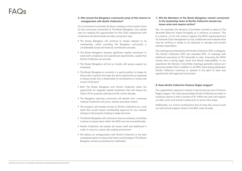## FAC

### **6. Why should the Bangalow community jump at this chance to amalgamate with Norths Collective?**

Our involvement is primarily all about creating a more certain future for the community connected to The Bowlo Bangalow. Our shared view for realising the opportunities for this Club underpinned with investment will demonstrate we take a long term view.

- The Bowlo Bangalow will continue to remain relevant to its membership, whilst providing the Bangalow community a considerable social and financial contribution annually.
- The Bowlo Bangalow requires significant capital investment to meet both compliance and operational requirements, capital that Norths Collective can provide.
- The Bowlo Bangalow will be run locally with group support as necessary.
- The Bowlo Bangalow is currently in a good position to shape its future with a partner that sees the same opportunity as opposed to being forced into a relationship of convenience or worse loss of part of the land.
- Both The Bowlo Bangalow and Norths Collective share the opportunity for targeted capital investment that will ensure the Club is fit for purpose well beyond the current decade.
- The Bangalow sporting community will benefit from continued material investment into junior, women and senior teams.
- The property will transfer across to Norths Collective as a core asset that would require membership approval for any material change to the property holding or lease structure.
- The Bowlo Bangalow will continue to have an advisory committee in place to ensure items within the MOU are met unconditionally.
- Norths Collective will employ all current staff and additional in order to move to a seven day trading environment.
- We believe an amalgamation with Norths Collective is the best considered option to ensure the history and heritage of The Bowlo Bangalow remains protected and celebrated.

#### **7. Will the Members of The Bowlo Bangalow remain connected to the leadership team at Norths Collective should any issues arise and require action?**

Yes. For example, the Advisory Committee currently in place at The Verandah Beecroft meets fortnightly at a minimum at present. This is a chance to not only check in against the MOU requirements but for licensed Club management to truly collaborate and evaluate what may be working or needs to be adjusted to manage and exceed member expectation.

The meetings are attended by the Norths Collective CEO or delegate. The Norths Collective CEO has attended 90% of meetings with additional executives at The Verandah to date. Executing the MOU comes with a strong legal, moral and ethical responsibility. In our experience the Advisory Committee meetings generally reduce as it becomes evident that in addition to all MOU items being addressed, Norths Collective continues to operate in the spirit of what was agreed both with legal and moral intent.

#### **8. Does Norths Collective Finance Rugby League?**

Our organisation supports a myriad of sports and yes one of those is Rugby League. The cash sponsorships Norths Collective provides to numerous sports is well in excess of \$1 million per year and support our elite, junior and women's teams just to name a few areas.

Additionally, our in-kind contributions that sit atop this amount push our total annual support closer to the \$2m mark annually.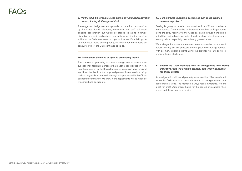### FAQ

#### **9. Will the Club be forced to close during any planned renovation period placing staff wages at risk?**

The suggested design concepts provided to date for consideration by the Clubs Board, Members, community and staff still need ongoing consultation but would be staged so as to minimise disruption and maintain business continuity supporting the ongoing ability for the Club to operate through such works. Establishing the outdoor areas would be the priority, so that indoor works could be conducted whilst the Club continues to trade.

#### **10. Is the layout definitive or open to community input?**

Parking is going to remain constrained as it is difficult to a chieve more spaces. There may be an increase in marked parking spaces along the entry roadway to the Clubs car-park however it should be noted that during busier periods of trade such off street spaces are already utilised especially over existing grassed areas.

The purpose of preparing a concept design was to create then subsequently facilitate a process that encouraged discussion from people connected to The Bowlo Bangalow. To date we have received significant feedback on the proposed plans with new versions being updated regularly as we work through this process with the Clubs connected community. We know more adjustments will be made as we consult and collaborate.

#### **11. Is an increase in parking possible as part of the planned renovation project?**

We envisage that as we trade more there may also be more spread across the day so less pressure around peak only trading periods. With so many sporting teams using the grounds we are going to continue facing challenges.

#### **12. Should the Club Members wish to amalgamate with Norths Collective, who will own the property and what happens to the Clubs assets?**

An amalgamation will see all property, assets and liabilities transferred to Norths Collective, a process identical to all amalgamations that occur industry wide. The members always retain ownership. We are a not for profit Club group that is for the benefit of members, their guests and the general community.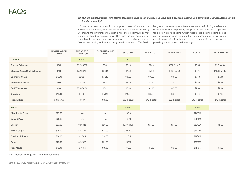#### **13. Will an amalgamation with Norths Collective lead to an increase in food and beverage pricing to a level that is unaffordable for the local community?**

|                                        | <b>NORTH BYRON</b><br><b>HOTEL</b> | <b>THE BOWLO</b><br><b>BANGALOW</b> | <b>THE BANGALOW</b><br><b>HOTEL</b> | <b>SEAGULLS</b> | <b>THE ALCOTT</b> | <b>THE GREENS</b> | <b>NORTHS</b> | <b>THE VERANDAH</b> |
|----------------------------------------|------------------------------------|-------------------------------------|-------------------------------------|-----------------|-------------------|-------------------|---------------|---------------------|
| <b>DRINKS</b>                          |                                    | m/nm                                |                                     | m               |                   |                   |               |                     |
| <b>Classic Schooner</b>                | \$9.00                             | \$6.70/\$7.30                       | \$7.60                              | \$6.20          | \$7.00            | \$9.90 (pints)    | \$8.00        | \$9.8 (pints)       |
| <b>Stone &amp; Wood/Craft Schooner</b> | \$9.00                             | \$9.20/\$9.80                       | $$8-$13$                            | \$7.80          | \$9.00            | \$10.9 (pints)    | \$10.40       | \$10.00 (pints)     |
| <b>Sparkling Glass</b>                 | \$10.00                            | $$8/$ \$8.5                         | $$7 - $10$                          | \$10.00         | \$10.00           | \$15.00           | \$7.50        | \$7.00              |
| <b>White Wine Glass</b>                | \$9.00                             | $$8/$ \$9                           | $$6 - $9$                           | \$6.50          | \$11.00           | \$13.00           | \$7.80        | \$9.00              |
| <b>Red Wine Glass</b>                  | \$9.00                             | \$8.50/\$9.50                       | $$6 - $9$                           | \$6.50          | \$11.00           | \$13.00           | \$7.80        | \$7.00              |
| <b>Cocktails</b>                       | \$18.00                            | $$17/$ \$17                         | \$15-\$20                           | \$15.00         | \$18.00           | \$18.00           | \$18.00       | \$19.00             |
| <b>French Rose</b>                     | \$48 (bottle)                      | $$8/$ \$9                           | \$10.00                             | \$35 (bottle)   | \$72 (bottle)     | \$52 (bottle)     | \$40 (bottle) | \$42 (bottle)       |
| <b>FOOD</b>                            |                                    |                                     |                                     | m/nm            |                   |                   | m/nm          |                     |
| <b>Margherita Pizza</b>                | \$23.00                            | <b>NA</b>                           | <b>NA</b>                           | 16/18           |                   |                   | \$14/\$16     |                     |
| <b>Salami Pizza</b>                    | \$25.00                            | <b>NA</b>                           | <b>NA</b>                           | 18/20           |                   |                   | \$21/\$23     |                     |
| <b>Burger</b>                          | \$23.00                            | \$20/\$22                           | \$20.00                             | 18.90/20.90     | \$22.00           | \$25.00           | \$22/\$24     | \$21.00             |
| <b>Fish &amp; Chips</b>                | \$25.00                            | $$23/\$25$                          | \$24.00                             | 19.90/21.90     |                   |                   | \$19/\$22     |                     |
| <b>Chicken Schnitty</b>                | \$24.00                            | $$22/\$24$                          | \$20.00                             | 21/23           |                   |                   | \$19/\$22     |                     |
| Parmi                                  | \$27.00                            | $$25/\$27$                          | \$24.00                             | 23/25           |                   |                   | \$23/\$25     |                     |
| <b>Kids Meals</b>                      | \$13.00                            | \$10/\$12                           | \$10.00                             | \$11.00         | \$11.00           | \$12.00           | \$11/\$13     | \$12.00             |

NO. We have been very clear in our proposal presentation about the way we approach amalgamations. We invest the time necessary to fully understand the differences that exist in the diverse communities that we are privileged to operate within. This does include target market analysis which assists us with sale pricing. We do not envisage a change from current pricing or historic pricing trends adopted at The Bowlo

\* m – Member pricing / nm – Non-member pricing

Bangalow over recent years. We are comfortable including a reference of sorts in an MOU supporting this position. We hope the comparison table below provides some further insights into existing pricing across our venues so as to demonstrate that differences do exist, that we do not take a one size fits all approach to product pricing and that we do provide great value food and beverage.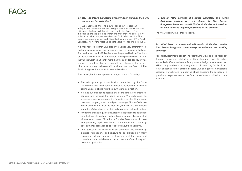#### **14. Has The Bowlo Bangalow property been valued? If so who completed the valuation?**

We encourage the The Bowlo Bangalow to seek an independent valuation. We are doing our own as part of our due diligence which we will happily share with the Board. Early indications are the site has limitations that may indicate a lower value than what people would expect for land of this size. The assets are already valued and sit on the balance sheet of The Bowlo Bangalow, however a more up to date value will need to be sought.

It is important to note that Club property is valued very differently from that of residential zoned land which can lead to reduced valuations. That said, we at Norths Collective share the general feel the Members of The Bowlo Bangalow have in relation to their property believing that the value is worth significantly more than the early desktop review has shown. The key items that are provided to us in the near future as part of a more thorough valuation will be shared with the Board of The Bowlo Bangalow for communication to Members.

Further insights from our project manager note the following:

- The existing zoning of any land is determined by the State Government and they have an absolute reluctance to change zoning unless it aligns with their own strategic direction.
- It is not our intention to rezone any of the land as we intend to continue and enhance the going concern. We understand the members concerns to protect the future interest should any future person or company intent be subject to change. Norths Collective would demonstrate over the first ten years that we are serious about the Clubs future as a Club and investment will back that up.
- Any zoning change requires a development application to be lodged with the local Council and that application can only be submitted with owners consent. Since future Board of Directors would have to approve any application there is no opportunity for a rezoning development application to be lodged without their approval.
- Any application for rezoning is an extremely time consuming exercise with reports and reviews to be provided by many engineers and legal teams. The time and cost for review and consideration is prohibitive and even then the Council may still reject the application.

**15. Will an MOU between The Bowlo Bangalow and Norths Collective include an exit clause for The Bowlo Bangalow Members should Norths Collective not provide all offer items as they are prescribed in the contract?**

The MOU deals with all these aspects.

#### **16. What level of investment will Norths Collective provide The Bowlo Bangalow membership to enhance the existing building?**

Recent refurbishments at both The Alcott Lane Cove and The Verandah Beecroft properties totalled over \$5 million and over \$2 million respectively. Once we have a final property design, which we expect will be completed once we have gathered all necessary feedback as a result of hosting further affiliated sports Club and general membership sessions, we will move to a costing phase engaging the services of a quantity surveyor so we can confirm our estimate provided above is accurate.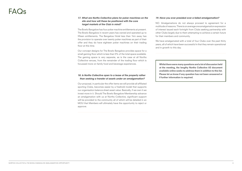## **FAQ**

#### **17. What are Norths Collective plans for poker machines on the site and how will these be positioned with the core target markets of the Club in mind?**

The Bowlo Bangalow has four poker machine entitlements at present. The Bowlo Bangalow in recent years has owned and operated up to fifteen entitlements. The Bangalow Hotel less than 1km away has the provision to operate over twenty poker machines as part of their offer and they do have eighteen poker machines on their trading floor at this time.

Our concept designs for The Bowlo Bangalow provides space for a small gaming floor which is less than 5% of the total space available. The gaming space is very separate, as is the case at all Norths Collective venues, from the remainder of the trading floor which is focussed more on family food and beverage experiences.

#### **18. Is Norths Collective open to a lease of the property rather than seeking a transfer of assets under an amalgamation?**

Our proposal, in particular the offer items we will provide all affiliated sporting Clubs, becomes easier by a freehold model that supports our organisation balance sheet asset value. Basically, if we own it we invest more in it. Should The Bowlo Bangalow Membership advance an amalgamation with us at Norths Collective, significant support will be provided to the community all of which will be detailed in an MOU that Members will ultimately have the opportunity to reject or approve.

### **19. Have you ever presided over a failed amalgamation?**

NO. Amalgamations do not always proceed to agreement for a multitude of reasons. There is on average one amalgamation expression of interest issued each fortnight from Clubs seeking partnership with other Clubs largely due to them attempting to achieve a certain future for their members and community.

We have amalgamated with a total of four Clubs over the past thirty years, all of which have been successful in that they remain operational and in growth to this day.

Whilst there were many questions and a lot of discussion held at the meeting, the lengthy Norths Collective A3 document available online seeks to address them in addition to this list. Please let us know if any question has not been answered or if further information is required.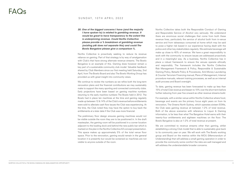**20. One of the biggest concerns I have (and the majority I have spoken to) is related to gambling revenue. It would be great to have transparency to the extent this is underpinning revenue. Could Norths Collective please provide a % breakdown of gambling revenue (existing p&l does not separate this) and could The Bowlo Bangalow please give a comparison %.**

Norths Collective is proactively seeking to reduce its revenue reliance on gaming. Part of that strategy is by way of amalgamation with Club's that have strong alternate revenue streams. The Bowlo Bangalow is an example of this. Gaming does however remain a key part of a sustainable community club model. Valuable feedback shared by Club Members since our first meeting held Saturday, 2nd April, from The Bowlo Board and also The Bowlo Working Group has provided us with great insight into community views.

We continue to review the numbers as we refine both the long-term renovation plans and the financial contributions we may sustainably make to support the many sporting and connected community clubs. Early projections have been based on gaming machine numbers returning to the early machine numbers The Bowlo held in 2012. The Bowlo had in place ten machines at the time and gaming regularly made up between 12 & 14% of the Club's revenue before entitlements were sold to alleviate cash flow issues the Club was experiencing. At the time, the Club noted they may have the option to buy back the entitlements at a later date if the Club was more financial.

The preliminary floor design ensures gaming machines would not be visible outside the room they are to be positioned in. In the draft masterplan, the gaming room will be positioned in a corner location adjacent to the loading dock and behind the new public bar which is marked on the plan in the Norths Collective A3 concept presentation. This space makes up approximately 5% of the total venue floor space. Prior to the renovation, gaming would remain in the general location it is presently but would be screened so machines are not visible to anyone outside of the room.

We are committed to revenue streams other than gaming, whilst establishing a strong Club model that is able to sustainably give back to its community year on year. We will work with The Bowlo working group and Board on the metrics within the MOU (Memorandum of Understanding) that will address a small gaming operation in order to provide the community some comfort the risks are well managed and will address the understandable broader concerns.

#### SUNDAY, 10TH APRIL 2022

### FAQs

Norths Collective takes both the Responsible Conduct of Gaming and Responsible Service of Alcohol very seriously. We understand there are enormous social challenges that come from both these revenue lines, particularly the service of alcohol both from in-venue service and from takeaways consumed at home which may be said to pose a higher risk based in our experience having dealt with the police and other key stakeholders regularly. We estimate beverage will make up close to 40% of revenue. We have a great responsibility to work with the community to ensure issues are addressed proactively and in a meaningful way. As a business, Norths Collective has in place a robust framework to ensure the venues operate ethically and responsibly. The framework includes the Norths Collective Risk Management Framework & Policy, Responsible & Sustainable Gaming Policy, Betsafe Policy & Procedures, Anti-Money Laundering & Counter Terrorism Financing manual, Plans of Management, Internal procedure manuals, relevant training processes, as well as an internal audit process and Board oversight.

To date, gaming revenue has been forecasted to make up less than 15% of total Club revenue and lessen to 10% over the short term before further reducing from year five onward as other revenue streams build.

For example, with a similar venue within Norths Collective where food, beverage and events are the primary focus eight years on from its renovation, The Greens North Sydney, which operates sixteen EGMs, the Club sees gaming revenue sit between 1-2% of total revenue. Both of the above scenarios with reference to Liquor & Gaming information, is far less than what The Bangalow Hotel earns with their twenty-four entitlements and eighteen machines on the floor. The Bowlo Bangalow is also at 1-2% of total revenue at present.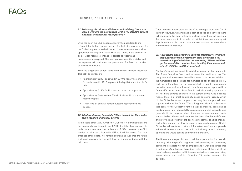### TUESDAY, 19TH APRIL 2022

#### **21. Following his address, Club accountant Greg Clark was asked why are the projections for the The Bowlo's current financial situation not more positive?**

Greg has been the Club accountant over the past decade and reflected that he had been concerned for the last couple of years for the Clubs long term sustainability and it was necessary to consider options for the long-term future whilst the Club is in the position to do so. Cash reserves continue to deplete as repairs and maintenance are required. The trading environment is unstable and the expenses will continue to put pressure on The Bowlo to be able to reinvest in the Club.

The Club's high level of debt adds to the current financial insecurity. This debt comprises of:

- Approximately \$200k borrowed in 2019 to repay the community for funds raised in 2012 to pay out the liquidator and the club's debt.
- Approximately \$155k for kitchen and other club upgrades
- Approximately \$90k to the ATO which sits within a structured repayment plan.
- A high level of debt will remain outstanding over the next decade.

Trade remains inconsistent as the Club emerges from the Covid slumber. However, with increasing cost of goods and services there will continue to be great difficulty in doing more than just covering the base costs month in month out. Whilst there are some great days in trade, the club has to cover the costs across the week where there may be little revenue.

#### **22. What went wrong financially? What has put the Club in the same situation financially before?**

In the years since 2012 (when the Club was in administration and the community contributed near \$200k) the Club has managed to trade on and renovate the kitchen with \$155k. However, the Club needed to take out a loan with ANZ to fund the above. That loan amongst other debts, will remain outstanding well into the future and place pressure on the cash flow on a monthly basis until it is paid back.

#### **23. Have Norths disclosed their Business Model fully? What will they expect for their investment? How do we get a full understanding of what they are proposing? Where will they get the population numbers from to satisfy their investment return? Will it be an RSL style set up?**

Norths Collective continues to workshop plans for the future with The Bowlo Bangalow Board and in future, the working group. The many information sessions that will continue to be made available to the membership are designed for members to ask questions directly and for information to be represented in print transparently thereafter. Any minimum financial commitment agreed upon within a future MOU would need both Boards and Membership approval. It will not have adverse changes to the current Bowlo Club business model. There is a great community asset operating already which Norths Collective would be proud to bring into the portfolio and support well into the future. With a long-term view, it is important that each Norths Collective venue is well capitalised, upgrading to building code and accessibility requirements where possible and generally fit for purpose when it comes to infrastructure needs across the bar, kitchen and bathroom facilities. Member satisfaction and growth is a key part of the business model that enables financial and in-kind support to flow through to community groups. Norths Collective will continue to attend information sessions and provide written documentation to assist in articulating how it currently operates and would seek to add value to Bangalow.

The Bowlo is a unique club and it will be important for it to remain that way with respectful upgrades and sensitivity to community sentiment. Its assets will not be stripped and it won't be turned into a traditional Club that may have been referenced at the time of the question being asked nor will it be a re-crested version of an existing venue within our portfolio. Question 33 further answers this question.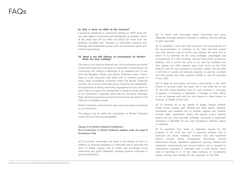#### 2 **4** . **Why is there no MOU at the moment?**

It would be premature to commence drafting an MOU given the very early stage of community and membership consultation. Much of the detail that will be within the MOU will come from the feedback provided from members at information sessions and meetings with stakeholder groups such as community sports and cultural organisations.

### FAQs

(b) To foster and encourage social intercourse and good fellowship amongst persons interested in athletics and the playing of sport generally.

(c) To establish a club and other premises and conveniences for the accommodation of members of the Club and their guests and other persons and to furnish and maintain the same and to afford to its members all the usual privileges, advantages and conveniences of a club including, physical and social recreational facilities, and to permit the same to be used by members and their guests and other persons upon such terms as the Club thinks fit and for such purpose to purchase, supply, sell and deal in all kinds of goods and services required or used by members and their guests and other persons entitled to use the premises of the Club.

(d) To apply for and obtain and hold a club licence or any other licence or licences under the Liquor Act or any other Act or law for the time being operative and for such purpose or purposes to appoint, if necessary or desirable, a manager or other officer to act as licensee and hold the club licence or other licence or licences on behalf of the Club.

**28. Who has the ROI debutes control of the ROI and the ROI and the ROI and the ROI and the ROI and the ROI and the ROI and the ROI and the ROI and the ROI and the ROI and the ROI and the ROI and the ROI and the ROI and t** The return is not strictly a financial one. Our constitutions are similar in that both Clubs don't just exist to make profit. Connecting to our Community and making a difference is an essential part of why both the Bangalow Bowlo and Norths Collective exists. Hence, there is a very long-term view taken and no minimum period of return when considering investment within the Norths Collective portfolio. As a not for profit club group owned by the membership, the importance is strong community engagement and its critical for each Club to be given the reinvestment it needs to remain relevant to the community it operates within well into the future. Naturally, there will strong governance around money being well spent on the Club as it is members money.

(e) To promote all or any games of Rugby League football, bowls, tennis, squash, golf, billiards and other sports, athletics, recreations and pastimes and to acquire, prepare and maintain football fields, gymnasium, tennis and squash courts, bowling greens and any other grounds, buildings, structures or equipment necessary or desirable for any such recreations, athletics, sports or pastimes.

(f) To purchase, hire, lease or otherwise acquire for the purpose of the Club any real or personal property and in particular any lands, buildings, furniture, club and household effects, utensils, books, newspapers, periodicals, musical instruments, fittings, apparatus, appliances, sporting material and equipment, conveniences and accommodation and to acquire by subscription, purchase or otherwise and to hold shares, stock, units or securities in or of any other company or co-operative society owning land suitable for the purposes of the Club.

### **What are they seeking?**

Norths Collective commitment to sport and community is enshrined in our constitution

The objects that sit within the constitution of Norths Collective outline why the Club was established:

#### Clause 10 of Norths Collective Constitution

(Full Constitution on Norths Collective website under the Legal & Governance Tab)

(a) To promote, encourage and assist in the playing of sport or athletics by financial assistance or otherwise and in particular the sport of Rugby League and to foster and encourage social intercourse and good fellowship amongst persons interested in sports and athletics.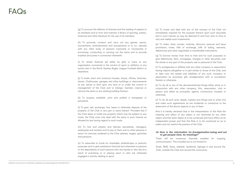(g) To procure the delivery of lectures and the reading of papers to its members and to form and maintain a library of sporting, artistic, historical and other literature for the use of its members.

(h) To promote, conduct and carry out any games, sports, tournaments, entertainments and amusements or to co- operate with any other body of persons corporate or incorporate in promoting, conducting or carrying out the same and to provide trophies and prizes in connection therewith.

(i) To render financial aid either by gifts or loans to any organisation concerned in the control of sport or athletics or any social club in the North Sydney Rugby League Football district or elsewhere.

(n) To subscribe to funds for charitable, philanthropic or patriotic purposes and to give assistance financial and otherwise to persons or the dependants of such persons who are injured or who die as a result of practising at or playing sport or who are otherwise engaged in activity relating to sport. return for services rendered to the Club salaries, wages, gratuities<br>
and pensions.<br>
There will be numerous channels enabled for ongoing<br>
(n) To subscribe to funds for charitable, philanthropic or patriotic communication.

(j) To build, erect and construct houses, shops, offices, factories, stores, Clubhouses, garages and other buildings or improvements of any nature or kind upon any land of or under the control or management of the Club and to enlarge, maintain, improve or remove the same or any existing building thereon.

(k) To acquire, establish, print and publish a newspaper or periodical.

(l) To give, sell, exchange, hire, lease or otherwise dispose of the property of the Club or any part or parts thereof. Provided that if the Club takes or holds any property which may be subject to any trusts, the Club must only deal with the same in such manner as allowed by law having regard to such trusts.

(m) To hire and employ and dismiss secretaries, managers, employees and workers and to pay to them and to other persons in return for services rendered to the Club salaries, wages, gratuities and pensions.

### FAQs

(o) To invest and deal with any of the moneys of the Club not immediately required for the purpose thereof upon such securities and in such manner as may be deemed fit and from time to time to vary and realise such investments.

(p) To make, draw, accept, endorse, discount, execute and issue promissory notes, bills of exchange, bills of lading, warrants, debentures and other negotiable or transferable instruments.

(q) To borrow money from time to time and for such purposes to give debentures, liens, mortgages, charges or other securities over the whole or any part of the property real or personal of the Club.

(r) To amalgamate or affiliate with any other company or association having objects altogether or in part similar to those of the Club, and to take over the assets and liabilities of any such company or association by purchase, gift, amalgamation with or succession thereto or otherwise.

(s) To do all or any of the abovementioned things either alone or in conjunction with any other company, firm, association, club or person and either as principals, agents, contractors, trustees or otherwise.

(t) To do all such acts, deeds, matters and things and to enter into and make such agreements as are incidental or conducive to the attainment of the above objects or any of them.

And it is hereby declared that in the interpretation of this Rule the meaning and effect of any object is not restricted by any other object and that each object is to be construed and have effect as an independent power and that this Rule is to be construed so as to widen and not restrict the powers of the Club.

### **to get people here, for meetings?**

There will be numerous channels enabled for ongoing communication. This includes but is not limited to:

Email, SMS, flyers, website, facebook, signage in and around the Club, outside the Club and around the community.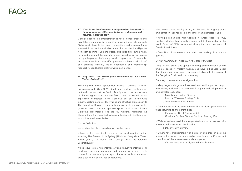#### 2 **7**. **What is the timeframe for Amalgamation Decision? Is there a material difference between a decision in 3 months, 6 months etc?**

Consideration for an amalgamation is not a rushed process and may take 6-9 months as information sessions are held as both Clubs work through the legal complexities and planning for a successful club and sustainable future. Part of the due diligence from both sporting clubs and Board. This takes time during which the membership will be provided many opportunities to engage through the process before any decision is proposed. For example, at present there is no draft MOU prepared as there is still a lot of due diligence currently being undertaken and membership feedback needed before drafting would commence.

 has never ceased trading at any of the clubs in its group postamalgamation, nor has it sold any land of amalgamated clubs.

 having amalgamated with Seagulls in Tweed Heads in 1998, Norths Collective has recently reached out to local clubs on the North Coast of NSW to support during the past two years of

- Covid-19 and floods.
- gaming.

Over 99% of the revenue from their two bowling clubs is non-

#### OTHER AMALGAMATIONS ACROSS THE INDUSTRY

Many of the larger club groups pursuing amalgamations at this time are based in Western Sydney and have a business model that does prioritise gaming. This does not align with the values of the Bangalow Bowlo and our community.

Summary of some recent amalgamations:

**26. We have the second developed Proportion Collective Collective Collective Collective Collective Collective Collective Collective Collective Collective Collective Collective Collective Collective Collective Collective C** The Bangalow Bowlo approached Norths Collective following discussions with ClubsNSW about what sort of amalgamation partnership would suit the Bowlo. An alignment of values was one of the strong reasons that the Bowlo then responded to the Expression of Interest Norths Collective put out to the Club industry seeking partners. Their values and structure align closely to The Bangalow Bowlo – community engagement, promoting the game of bowls and the sponsorship of local sports. Norths Collective presentation (see the NC website) highlights this alignment and their long and successful history with amalgamation as a not for profit organisation.

 Many larger club groups have sold land and/or pursued major, multi-storey, residential or commercial property redevelopments at

Others have sold the amalgamated club to developers, with the

o Goulburn Soldiers Club at Goulburn Bowling Club

- amalgamated club sites.
	- o Mounties at Harbor Diggers
	- o Easts at Waverley Bowling Club
	- o Twin Towns at Club Banora
- funds returning to the parent club: o Petersham RSL at Newtown RSL
- a view to relocate to another location: o Dooleys at Waterview
- operations of the amalgamated club altogether:

While some have sold the amalgamated club to developers, with

 Others have amalgamated with a smaller club then on sold the amalgamated venue to other clubs, developers and/or ceased

o Various clubs that amalgamated with Panthers

### **Norths Collective?**

#### Norths Collective:

**Comprises five clubs, including two bowling clubs.** 

 have a thirty-year track record as an amalgamation partner including The Greens North Sydney (1991) and Seagulls in Tweed Heads (1998), The Alcott Lane Cove (2016) & The Verandah Beecroft (2021).

 their focus is creating contemporary and innovative entertainment, food and beverage precincts, underwritten by a grass roots connection to community and sport. A charter we both share and that is outlined in both Clubs constitutions.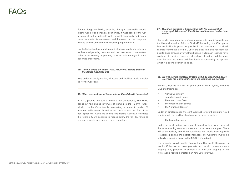### FAC

For the Bangalow Bowlo, selecting the right partnership should extend well beyond financial positioning. It must consider the way a potential partner interacts with its local community and sports clubs, supports its employees and focusses on the long-term welfare of the club members it is looking to partner with.

Norths Collective has a track record of honouring its commitments to their amalgamating members and their connected communities, rather than seeking a property play or exit strategy if trade becomes challenging.

#### 2**9. Do our debts go away (ANZ, ARO) etc? Where does all the Bowlo liabilities go?**

Yes, under an amalgamation, all assets and liabilities would transfer to Norths Collective.

#### **30. What percentage of income from the club will be pokies?**

In 2012, prior to the sale of some of its entitlements, The Bowlo Bangalow had trading revenues of gaming in the 12-14% range. Initially, Norths Collective is forecasting a return to similar % numbers. With future planned works, there is less than 5% of the floor space that would be gaming and Norths Collective estimates the revenue % will continue to reduce below the 12-14% range as other revenue streams become more consistent.

#### **31. Question on what is happening with the oversight of expenses? Why hasn't the Clubs position been called our earlier?**

The Bowlo has strong governance in place with Board oversight on the financial situation. Prior to Covid-19 impacting, the Club put a finance facility in place to pay back the people that provided financial contribution to the Club in the past. The club has done its best to trade through a very difficult period whilst cash reserves have continued to decline. Numerous clubs have closed around the state over the past two years and The Bowlo is considering its options whilst in a strong position to do so.

#### **32. How is Norths structured? How will it be structured here? How will the community have an influence on Norths?**

Norths Collective is a not for profit and is North Sydney Leagues

- 
- 
- 
- 

Club Ltd trading as:

- Norths Cammeray
- Seagulls Tweed Heads
- The Alcott Lane Cove
- The Greens North Sydney
- The Verandah Beecroft

Under an amalgamation the continued not for profit structure would continue with the additional club under the same structure

• The Bowlo Bangalow

Under the local trading operation of Bangalow there would also sit the same sporting team structures that have been in the past. There will be an advisory committee established that would meet regularly to address planning and operational needs. The Committee would be critically involved in ensuring the MOU is carried out.

The property would transfer across from The Bowlo Bangalow to Norths Collective as core property and would remain as core property. Any proposal to change it to Non-core property in the future would require a greater than 75% vote in favour.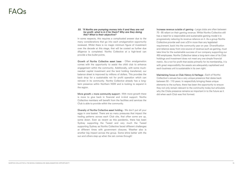#### **33**. **"If Norths are pumping money into it and they are not for profit, what is in it for them? Why are they doing this? What is their objective?**

In some respects, this requires a complicated answer due to the many considerations that go into each amalgamation opportunity reviewed. Whilst there is no magic minimum figure of investment over the decade at this stage, that will be costed as further due diligence is completed. Norths Collective at a high-level can provide a few bullet points.

More growth = more community support - With more growth there is more to give back in financial and in-kind support. Norths Collective members will benefit from the facilities and services the Club is able to provide within the community.

Growth of Norths Collective asset base - Often amalgamation comes with the opportunity to assist the child club to enhance engagement within the community. Additionally, with some muchneeded capital investment and the land holding transferred, our balance sheet is improved by millions of dollars. This provides the back drop for a sustainable not for profit operation which can reinvest in its community. Norths Collective already has a longterm presence within Northern NSW and is looking to expand in the region.

Diversity of Norths Collective asset holding - We don't put all your eggs in one basket. There are so many pressures that impact the trading patterns across each Club site, that often some are up, some down. Even as recent as this pandemic, there has been Sydney supporting the Tweed and very much the Tweed supporting Sydney as Norths Collective faced different challenges at different times with government closures. Weather also is another big impact across the group. Some shine better with the sun and others step up when the rain comes through!

Increase revenue outside of gaming - Large clubs are often between 70 - 85 reliant on their gaming revenue. Whilst Norths Collective still has a need for a responsible and sustainable gaming model it is progressively reducing its revenue reliance on it. As a group Norths Collective provide well over a \$1m more than any legislated requirement, back into the community year on year. Diversification and reliance away from one source of revenue such as gaming, must take time for the sustainable success of our company supporting our 450 employees. Norths Collective takes a long-term view of its Club holdings and investment does not meet any one simple financial metric. As a not for profit that exists primarily for its membership, it is with great responsibility the assets are adequately capitalised and each business unit is sustainable in its own right.

Maintaining focus on Club History & Heritage - Each of Norths Collective's venues has a very unique presence that dates back between 50 - 110 years. In respectfully bringing these unique elements to the surface, there has been the opportunity to ensure they not only remain relevant to the community today but articulate why the Clubs presence remains so important in to the future as it did when each Club was first formed.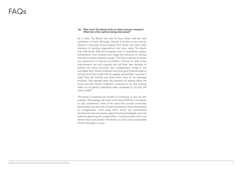#### **34. "Why can't The Bowlo look at other revenue streams? What are other options being discussed?**

As a Club, The Bowlo has over its long history had the core operations of Food, Beverage, Gaming & Events as key revenue streams. It has seen strong support from Bowls and many other members of sporting organisations that have called The Bowlo their club house. With the increasing cost of compliance, repairs, maintenance, cost of goods and wages the pressures on existing and other revenue streams is tough. The Club continues to review any opportunity to improve its position, however to date, those improvements are only marginal that will likely take decades to achieve the same outcomes that amalgamation brings in the immediate term. Norths Collective can bring great financial support through its pricing model with its supplier partnerships. Ironically a small Club will normally pay three times more for its beverage products. This strength takes the pressure off gaming being the focus and why Norths Collective continues to be less revenue reliant on its gaming operations when compared to the top 100 clubs in NSW.

The Bowlo is exploring the benefit of continuing to own its own property. This strategy will mean it will remain difficult to contribute to club reinvestment while at the same time provide community sponsorship over the next 10 years and beyond versus the benefits an amalgamation could bring which would see considerable reinvestment and community support flowing immediately upon the authority approving the amalgamation. It would provide a far more certain future and position The Bowlo as a very strong sustainable Club for decades to come.

### FAQs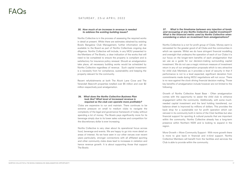#### **35. How much of an increase in revenue is needed to address the existing building issues?**

Norths Collective is in the process of assessing the required works in detail at present. Whilst there are estimates obtained by existing Bowlo Bangalow Club Management, further information will be available to the Board as part of Norths Collectives ongoing due diligence. Norths Collective will include, in any MOU presented to the Members of The Bowlo, a clear indication of the works that will need to be completed to ensure the property is compliant and is satisfactory for insurance policy renewal. Should an amalgamation take place, all necessary building works would be scheduled by Norths Collective regardless of revenue. Such capital investment is a necessity from for compliance, sustainability and keeping the property relevant for the community.

Recent refurbishments at both The Alcott Lane Cove and The Verandah Beecroft properties totalled over \$5 million and over \$2 million respectively post amalgamation.

### **FAQs**

#### SATURDAY , 23rd APRIL 2022

#### **36. What does the Norths Collective Business Plan look like? What level of increased revenue is required so the club can operate more profitably?**

Clubs are expensive to run and maintain. There continues to be extreme pressure on small to medium clubs to navigate the complexity of the legal and governance framework of today without spending a lot of money. The Bowlo pays significantly more for its beverage simply due to its lower sales volumes and competition for the discretionary dollar is ever increasing.

Norths Collective is very clear about its operational focus across food, beverage and events. We are happy to go into more detail on areas of interest. As we have seen in our other venues over recent years particularly, stronger connections with all affiliated sporting and other community clubs does lead to increases in visitation and hence revenue growth. It is about supporting those that support The Bowlo.

#### **37. What is the timeframe between any injection of funds and recouping of any Norths Collective capital investment? What is the financial metric used by Norths Collective when considering a return on investment from amalgamations?**

Norths Collective is a not for profit group of Clubs. Money earnt is reinvested for the greater good of all Clubs and the communities in which we operate. Whilst we do have stringent financial modelling and oversight that underpins the operation of each of our Clubs it is our focus on the longer-term benefits of each amalgamation that we use as a guide for our decision-making surrounding capital investment. We do not use a magic minimum measure of investment return in any of our amalgamation proposals which is very attractive for child club Members as it provides a level of security in that if performance is not to a level expected, significant deviation from commitments made during MOU negotiations will not occur. There is no race against the clock driving financial decision making. Those key benefits of amalgamation include however are not limited to the following:

Growth of Norths Collective Asset Base - Often amalgamation comes with the opportunity to assist the child club to enhance engagement within the community. Additionally, with some muchneeded capital investment and the land holding transferred, our balance sheet is improved by millions of dollars. This provides the back drop for a sustainable not for profit operation which can reinvest in its community both in terms of the Club facilities but also financial support for sporting & cultural pursuits that are important within the community. Norths Collective already has a long-term presence within Northern NSW and is looking to expand in the region.

More Growth = More Community Support - With more growth there is more to give back in financial and in-kind support. Norths Collective Members will benefit from the facilities and services the Club is able to provide within the community.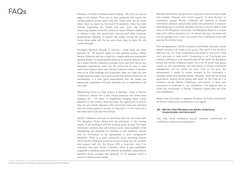Diversity of Norths Collective Asset Holding - We don't put all our eggs in one basket. There are so many pressures that impact the trading patterns across each Club site. Often some are up, some down. Even as recent as the Covid-19 pandemic, there has been Sydney supporting the Tweed and very much the Tweed supporting Sydney as Norths Collective faced different challenges at different times with government closures and other measures implemented. Weather is another big impact across the group. Some shine better with the sun and others step up when the rain comes through!

Increased Revenue Outside of Gaming - Large clubs are often between 70 - 85 percent reliant on their gaming revenue. Whilst Norths Collective still has a need for a responsible and sustainable gaming model it is progressively reducing its revenue reliance on it. As a group Norths Collective provides more than \$1m above any legislated requirement, back into the community by way of cash and in-kind support each year. Norths Collective takes a long-term view of its Club holdings and investment does not meet any one simple financial metric. As a not for profit that exists primarily for its membership, it is with great responsibility that the assets are adequately capitalised and each business unit is sustainable in its own right.

Maintaining Focus on Club History & Heritage - Each of Norths Collective's venues has a very unique presence that dates back between 50 - 110 years. In respectfully bringing these unique elements to the surface, there has been the opportunity to ensure they not only remain relevant to the community today but articulate why the Clubs presence remains so important in to the future as it did when each Club was first formed.

Norths Collective continues to workshop plans for the future with The Bangalow Bowlo Board and we anticipate, in the coming weeks, to be working in with the working group as well. The many information sessions that will continue to be made available to the membership are designed for members to ask questions directly and for information to be represented in print transparently thereafter. There is a great community asset operating already which Norths Collective would be proud to bring into the portfolio and support well into the future. With a long-term view, it is important that each Norths Collective venue is well capitalised, upgraded to building code with relevant accessibility requirements satisfied where possible and generally fit for purpose when it comes to infrastructure needs.

### FAQs

Member satisfaction and growth is a key part of the business model that enables financial and in-kind support to flow through to community groups. Norths Collective will continue to attend information sessions and provide written documentation to assist in articulating how it currently operates and how it would seek to add value to the Bangalow community. The Bangalow Bowlo is a unique club and it will be important for it to remain that way. Its assets will not be stripped and it won't be turned into a traditional Club with gaming the primary focus.

Post amalgamation, Norths Collective and Bowlo members would remain owners of all Clubs in the group. The return is not strictly a financial one. Our Club constitutions are similar in that both Clubs don't just exist to make profit. Connecting to our Community and making a difference is an essential part of why both The Bangalow Bowlo and Norths Collective exists. As a not for profit club group owned by the membership, the importance is strong community engagement and its critical for each Club to be given the reinvestment it needs to remain relevant to the community it operates within and proudly serves. Naturally, there will be strong governance around money being well spent on the Club as it is members money. Norths Collectives commitment to sport and community is enshrined in our constitution. The objects that sit within the constitution of Norths Collective outline why the Club was established.

Please view the answer to question 25 above for further information on Norths Collectives Constitution in this regard.

#### **38. Will the Club Members see Norths Collectives financial plan and forecasts?**

Yes, with some limitations around sensitive commercial in confidence contractual arrangements.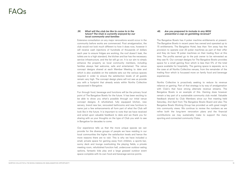#### **39. What will the club be like to come to in the future? The Club is currently enjoyed by our local community and families**

Extensive consultation on any major renovations would occur in the community before works are commenced. Post amalgamation, the club would not look much different to how it does now, however it will receive cash injections of hundreds of thousands of dollars each year to ensure fridges are working, the roof doesn't leak, the toilets are to a high standard, the kitchen and bar has the necessary service infrastructure, and the list will go on. It is our aim to simply enhance the property so local community members, including families always feel welcome, safe and entertained. The venue concept designs shared at each Member Meeting to date and which is also available on the website sets out the various spaces required in order to ensure the satisfaction levels of all guests remain very high. The concept design plans will not see us provide you with a footprint that already exists within Norths Collective repurposed in Bangalow.

Fun through food, beverage and functions will be the primary focal point of The Bangalow Bowlo for the future. It has been exciting to be able to show you what's possible through our initial venue concept designs. A refurbished, fully equipped kitchen, new servery, brand new bar, renovated bathrooms and new furniture to name just a few enhancements all form part of what the Club will look like in the future. It is important to note that we have received and acted upon valuable feedback to date and we thank you for sharing with us your thoughts on the type of Club you wish to see in Bangalow for decades to come.

Our experience tells us that the more unique spaces we can provide for the diverse groups of people we have residing in our local communities the higher the satisfaction levels and hence the more reasons there are to visit. This is why we have included a small, private space for gaming away from children, a sports bar, sunny deck and lounge overlooking the playing fields, a private meeting room, refurbished function hall, undercover outdoor eating options, fantastic kids play and a large grassed outdoor event space complete with its own food and beverage service points.

#### **40. Are you prepared to include in any MOU presented a cap on gambling revenue?**

The Bangalow Bowlo has 4 poker machine entitlements at present. The Bangalow Bowlo in recent years has owned and operated up to 15 entitlements. The Bangalow Hotel, less than 1km away has the provision to operate over 20 poker machines as part of their offer and they do have 18 poker machines on their trading floor at this time. The profits earned go to the pub owner to be reinvested as they see fit. Our concept designs for The Bangalow Bowlo provides space for a small gaming floor which is less than 5% of the total space available for hospitality. The gaming space is separate, as is the case at all Norths Collective venues, from the remainder of the trading floor which is focussed more on family food and beverage experiences.

Norths Collective is proactively seeking to reduce its revenue reliance on gaming. Part of that strategy is by way of amalgamation with Club's that have strong alternate revenue streams. The Bangalow Bowlo is an example of this. Gaming does however remain a key part of a sustainable community club model. Valuable feedback shared by Club Members since our first meeting held Saturday, 2nd April from The Bangalow Bowlo Board and also The Bangalow Bowlo Working Group has provided us with great insight into community views. We continue to review the numbers as we refine both the long-term renovation plans and the financial contributions we may sustainably make to support the many sporting and connected community Clubs.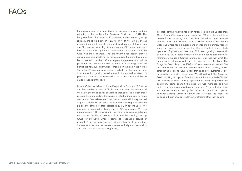Early projections have been based on gaming machine numbers returning to the numbers The Bangalow Bowlo held in 2012. The Bangalow Bowlo had in place 10 machines at the time and gaming regularly made up between 12% to 14% of the Club's overall revenue before entitlements were sold to alleviate cash flow issues the Club was experiencing. At the time, the Club noted they may have the option to buy back the entitlements at a later date if the Club was more financial. The preliminary floor design ensures gaming machines would not be visible outside the room they are to be positioned in. In the draft masterplan, the gaming room will be positioned in a corner location adjacent to the loading dock and behind the new public bar which is marked on the plan in the Norths Collective A3 concept presentation available on the website. Prior to a renovation, gaming would remain in the general location it is presently but would be screened so machines are not visible to anyone outside of the room.

Norths Collective takes both the Responsible Conduct of Gaming and Responsible Service of Alcohol very seriously. We understand there are enormous social challenges that come from both these revenue lines, particularly the service of alcohol both from in-venue service and from takeaways consumed at home which may be said to pose a higher risk based in our experience having dealt with the police and other key stakeholders regularly in recent years. We estimate beverage will make up close to 40% of revenue. We have a great responsibility to work with the community to manage issues such as poor health and domestic violence whilst ensuring a strong future for our youth when it comes to responsible service of alcohol. As a business, Norths Collective has in place a robust framework to ensure the venues operate ethically and responsibly and to be proactive in a meaningful way.

To date, gaming revenue has been forecasted to make up less than 15% of total Club revenue and lessen to 10% over the short term before further reducing from year five onward as other revenue streams build. For example, with a similar venue within Norths Collective where food, beverage and events are the primary focus 8 years on from its renovation, The Greens North Sydney, which operates 16 poker machines, the Club sees gaming revenue sit between 1%-2% of total revenue. Both of the above scenarios with reference to Liquor & Gaming information, is far less than what The Bangalow Hotel earns with their 18 machines on the floor. The Bangalow Bowlo is also at 1%-2% of total revenue at present. We are committed to revenue streams other than gaming, whilst establishing a strong Club model that is able to sustainably give back to its community year on year. We will work with The Bangalow Bowlo Working Group and Board on the metrics within the MOU that will address a small gaming operation in order to provide the community some comfort the risks are well managed and will address the understandable broader concerns. As the actual revenue split cannot be controlled by the club a cap cannot be in place, however wording within the MOU can reference the intent for balancing the revenue split in favour of streams other than gaming.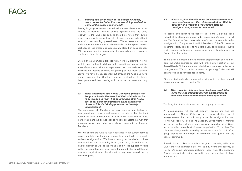#### **41. Parking can be an issue at The Bangalow Bowlo, what do Norths Collective propose doing to alleviate some of the issues experienced?**

Parking is going to remain constrained however there may be an increase in defined, marked parking spaces along the entry roadway to the Clubs car-park. It should be noted that during busier periods of trade such off street spaces are already utilised especially over existing grassed areas. We envisage that as we trade across more of the week there may be further spread across each day so less pressure is subsequently placed on peak periods. With so many sporting teams using the grounds we are going to continue to face challenges.

Should an amalgamation proceed with Norths Collective, we will seek to open up healthy dialogue with Byron Shire Council and the NSW Government with the expectation we can collaboratively maximise the spaces available for parking as has been outlined above. We have already reached out through the Club and have begun reviewing the Sporting Precinct masterplan, its future development and how parking with be addressed over the long term.

#### **42. What guarantees can Norths Collective provide The Bangalow Bowlo Members that their Club will not be re-developed in year 11 of an amalgamation? Have any of our other amalgamated clubs asked for a clause of this kind during previous partnership negotiations?**

We encourage all Members to look back at our history of amalgamations to gain a real sense of security in that the track record we have demonstrates we take a long-term view of these partnerships and we do not seek to re-develop assets in a way that deviates away from what was always intended by founding Members.

We will ensure the Club is well capitalised in its current form to ensure its future is far more secure than what will be possible without amalgamation. We have a strong active desire to have everyone look back favourably in ten years' time, pleased with the capital injection as well as the financial and in-kind support invested within the Bangalow community over that period. This could then be measured against what the alternative may have looked like by continuing as is.

#### **43. Please explain the difference between core and non core assets and how this relates to what the Club is currently and whether it will change after an amalgamation process is complete?**

All assets and liabilities do transfer to Norths Collective upon receipt of amalgamation approval by Liquor and Gaming. This will see The Bangalow Bowlo property transfer as core property under amalgamation. The process by which Members of the Club seek to transfer property from core to non-core is very complex and requires a 75% majority of Members present at a General Meeting to be in favour of such a motion.

To be clear, our intent is not to transfer property from core to noncore. All Clubs operate as core with only a small section of our Tweed Heads Club the exception which has some areas under lease arrangements. We are in the business of operating Clubs and will continue doing so for decades to come.

Our constitution details our reason for being which has been shared above in the answer to question 25.

#### **44. Who owns the club and land physically now? Who owns the club and land after an amalgamation? Who owns the club and land in the longer term?**

The Bangalow Bowlo Members own the property at present.

An amalgamation will see all property, assets and liabilities transferred to Norths Collective, a process identical to all amalgamations that occur industry wide. An amalgamation with Norths Collective will see all The Bangalow Bowlo Members transfer across to Norths Collective hence gaining ownership of all Clubs and assets that currently sit within our organisation. To be clear, The Members always retain ownership as we are a not for profit Club group that is for the benefit of Members, their guests and the general community.

Should Norths Collective continue to grow, partnering with other Clubs under amalgamation over the next 10 years and beyond, all Norths Collective Members, including those from The Bangalow Bowlo, automatically enjoy ownership and membership of those future assets.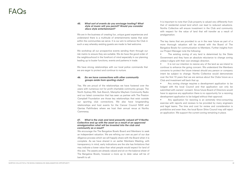#### **45. What sort of events do you envisage hosting? What style of music will you permit? Would you consider disco style entertainment?**

We are in the business of creating fun, unique quest experiences and understand there is a multitude of entertainments tastes that exist within the communities we serve. It is our aim to enhance the Club in such a way whereby existing guests are made to feel welcome.

We workshop all our prospective events sending them through our risk matrix to ensure they are suitable. We do have the good order of the neighbourhood in the forefront of mind especially in our planning leading up to busier functions, events and patterns in trade.

We have strong relationships with our local police commands that we are eager to protect and continue to nurture.

#### **46. Do we have connections with other community groups aside from sporting clubs?**

Yes. We are proud of the relationships we have fostered over the years with numerous not for profit charitable community groups. The North Sydney RSL Sub Branch, Memphis Mayhem Community Radio and our latest connection that has seen us partner with The Preston Campbell Foundation are those key relationships that exist outside our sporting club connections. We also have longstanding relationships and host events for the Cancer Council NSW and Qantas Pathfinders where we host their annual revue at Norths Cammeray.

It is important to note that Club property is valued very differently from that of residential zoned land which can lead to reduced valuations. Norths Collective will ensure investment in the Club and community with respect for the value of land that will transfer as a result of amalgamation.

#### **47. What is the club and land presently valued at? If Norths Collective end up with the asset as a result of an approved amalgamation what will be invested into the club and community as a result?**

Any zoning change requires a development application to be lodged with the local Council and that application can only be submitted with owners' consent. Since future Board of Directors would have to approve any application there is no opportunity for a rezoning development application to be lodged without their approval.

We encourage the The Bangalow Bowlo Board and Members to seek an independent valuation. We are refining our own as part of our due diligence process which we will happily share with the Board when it is complete. As we have shared in an earlier Members Meeting, with transparency in mind, early indications are the site has limitations that may indicate a lower value than what people would expect for land of this size. The assets are already valued and sit on the balance sheet of The Bangalow Bowlo, however a more up to date value will be of benefit to all.

Any application for rezoning is an extremely time-consuming exercise with reports and reviews to be provided by many engineers and legal teams. The time and cost for review and consideration is prohibitive and even then, the local Byron Shire Council may still reject an application. We support the current zoning remaining in place.

The key items that are provided to us in the near future as part of a more thorough valuation will be shared with the Board of The Bangalow Bowlo for communication to Members. Further insights from our Project Manager note the following:

• The existing zoning of any land is determined by the State Government and they have an absolute reluctance to change zoning unless it aligns with their own strategic direction.

• It is not our intention to rezone any of the land as we intend to continue to enhance the going concern. We understand the Members concerns to protect the future interest should any person or company intent be subject to change. Norths Collective would demonstrate over the first 10 years that we are serious about the Clubs future as a Club and investment will back that up.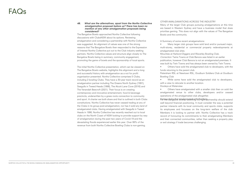#### **48. What are the alternatives, apart from the Norths Collective amalgamation proposal before us? There has been no mention of any other amalgamation proposals being considered?**

The Bangalow Bowlo approached Norths Collective following discussions with ClubsNSW about its options. Reviewing amalgamation and considering a partnership with Norths Collective was suggested. An alignment of values was one of the strong reasons that The Bangalow Bowlo then responded to the Expression of Interest Norths Collective put out to the Club industry seeking partners. Norths Collective values and structure align closely to The Bangalow Bowlo being in summary; community engagement, promoting the game of bowls and the sponsorship of local sports.

The initial Norths Collective presentation, which can be viewed on The Bangalow Bowlo website, highlights this alignment and a long and successful history with amalgamation as a not for profit organisation presented. Norths Collective comprises 5 Clubs, including 2 bowling Clubs. They have a 30-year track record as an amalgamation partner including The Greens North Sydney (1991), Seagulls in Tweed Heads (1998), The Alcott Lane Cove (2016) and The Verandah Beecroft (2021). Their focus is on creating contemporary and innovative entertainment, food & beverage precincts, underwritten by a grass roots connection to community and sport. A charter we both share and that is outlined in both Clubs constitutions. Norths Collective has never ceased trading at any of the Clubs in its group post-amalgamation, nor has it sold any land of amalgamated clubs. Having amalgamated with Seagulls in Tweed Heads in 1998, Norths Collective has recently reached out to local clubs on the North Coast of NSW looking to provide support by way of amalgamation during the past two years of Covid-19 and the devastating floods experienced earlier this year. Over 99% of the revenue from both Norths Collective Bowling Clubs is non-gaming.

- Many larger club groups have sold land and/or pursued major, multi-storey, residential or commercial property redevelopments at
	-
	-
- publication, however Club Banora is not an amalgamated premises. It was built by Twin Towns and has always been owned by Twin Towns.
	- Others have sold the amalgamated club to developers, with the
- Petersham RSL at Newtown RSL, Goulburn Soldiers Club at Goulburn

OTHER AMALGAMATIONS ACROSS THE INDUSTRY Many of the larger Club groups pursuing amalgamations at this time are based in Western Sydney and have a business model that does prioritise gaming. This does not align with the values of The Bangalow Bowlo and the community.

A Summary of some recent amalgamations: amalgamated club sites. Mounties at Harbord Diggers and Waverley Bowling Club. Correction: Twins Towns at Club Banora was listed in an earlier

funds returning to the parent club. Bowling Club

• While some have sold the amalgamated club to developers, with a view to relocate to another location. Dooleys at Waterview

• Others have amalgamated with a smaller club then on sold the amalgamated venue to other clubs, developers and/or ceased operations of the amalgamated club altogether. Variews Burbathat Bowlo, Bangated with Panthers artnership should extend well beyond financial positioning. It must consider the way a potential partner interacts with its local community and sports clubs, supports its employees and focusses on the long-term welfare of the club Members it is looking to partner with. Norths Collective has a track record of honouring its commitments to their amalgamating Members and their connected communities, rather than seeking a property play or exit strategy if trade becomes challenging.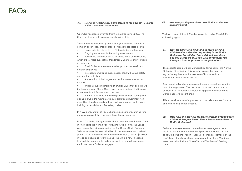#### **49. How many small clubs have closed in the past 10-15 years? Is this a common occurrence?**

One Club has closed, every fortnight, on average since 2007. The Clubs most vulnerable to closure are bowling clubs.

There are many reasons why over recent years this has become a common occurrence. Broadly those key reasons are listed below:

- Unprecedented disruption to Club activities and finances
- Ongoing uncertainty in the trading environment

• Inflation squeezing margins of smaller Clubs that do not have the buying power of large Club or pub groups that can find it easier to withstand such fluctuations in markets

• Banks have been reluctant to refinance loans of small Clubs, which are far more susceptible than larger Clubs to volatility in trade or cashflow

In NSW alone, a total of 100 Clubs facing closure or searching for a pathway to growth have survived through amalgamation.

- Small Clubs face a greater challenge to recruit, retain and develop employees
- Increased compliance burden associated with venue safety and sporting activities
- Acceleration of the longer-term decline in volunteerism in Australia

• Alternative revenue streams requires investment. Changes to planning laws in the future may require significant investment from older Club Boards upgrading their buildings to comply with revised building, accessibility and fire safety codes

Norths Collective amalgamated with the second oldest Bowling Club in NSW being the North Sydney Bowling Club in 1991. This venue was re-launched with a renovation as The Greens North Sydney in 2014 at a cost of just over \$1 million. In the most recent normalised year of 2019, The Greens North Sydney achieved a total of \$9 million in food and beverage revenue alone. This Club is now Australia's leading Club in corporate and social bowls with a well-connected traditional bowls Club also engaged.

We have a total of 60,569 Members as at the end of March 2022 all

with voting rights.

#### **50. How many voting members does Norths Collective currently have?**

The separate listing of both Memberships forms part of the Norths Collective Constitution. This was due to recent changes in legislative requirements that now sees Clubs record such information in an itemised fashion.

Amalgamating Members are required to complete a form as at the time of amalgamation. This document covers off on the required consent with Membership transfer taking place once Liquor and Gaming approval is confirmed.

This is therefore a transfer process provided Members are financial at the time amalgamation occurs.

#### **51. Why are Lane Cove Club and Beecroft Bowling Club Members identified separately in the Norths Collective Constitution? How did their Members become Members of Norths Collective? What this through a transfer process or re-application?**

Both these amalgamations occurred many years ago and as a result we are not clear on the formal process required at the time or how this was undertaken. That said, all financial Members of the two Clubs listed above share the same rights as those Members associated with the Lane Cove Club and The Beecroft Bowling Club.

#### **52. How have the previous Members of North Sydney Bowls Club and Seagulls Tweed Heads become members of Norths Collective?**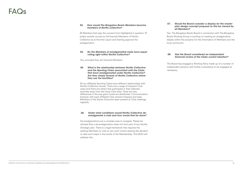All Members that sign the consent form highlighted in question 19 simply transfer across as full financial Members of Norths Collective as at the time Liquor and Gaming approve the amalgamation.

### $F\Delta$  $\Omega$

#### **53. How would The Bangalow Bowlo Members become members of Norths collective?**

Yes, provided they are financial Members.

#### **54. Do the Members of amalgamated clubs have equal voting right within Norths Collective?**

All our affiliated Sporting Clubs have different relationships with Norths Collective venues. There are a range of frequent Club users and there are others that participate in their selected activities away from the home Club sites. There are also differences in the way grant funds are distributed. Communication however with each affiliated Club remains frequent and sees Members of the Senior Executive team present at Club meetings regularly.

#### **55. What is the relationship between Norths Collective and the Sporting Clubs associated with the Clubs that have amalgamated under Norths Collective? Are they simply tenants of Norths Collective where they use the facilities?**

#### **56. Under what conditions would Norths Collective de amalgamate a club and how would that be done?**

De-amalgamations are a complex area to navigate. Please be advised that a de-amalgamation does not form part of any Norths Strategic plan. There is a legal framework that requires the existing Members to vote on any such motion placing the decision to take such steps in the hands of the Membership. The MOU will address this.

#### **57. Would the Board consider a display for the master plan design concept proposal so this be viewed by all Members?**

Yes. The Bangalow Bowlo Board in connection with The Bangalow Bowlo Working Group is working on creating an amalgamation display within the property for the information of Members and the local community.

#### **58. Has the Board considered an independant financial review of the Clubs current situation?**

The Board has engaged a Working Party made up of a number of independent persons with further consultants to be engaged as

necessary.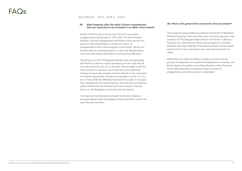### SATURDAY, 30th APRIL 2022

#### **59. What happens after the initial 10-year commitments, that are expected to be included in an MOU, have ended?**

Norths Collective has a strong track record in successful amalgamations dating back to 1991 when The North Sydney Bowling Club was amalgamated with Norths which we are very proud of. We ask Members to review our history of amalgamations which show long-term commitment. We do not actively seek to re-develop assets in a way that deviates away from what was always intended by founding Club Members.

It is important that Members consider the Norths Collective proposal against what may happen should operations remain the way they are at present.

We will see to it that The Bangalow Bowlo upon amalgamating with Norths Collective is well capitalised as is the case with all the clubs that form part of our portfolio. We are eager to see the Club continue to operate in its current form with additional funding to ensure the property remains relevant to the community and equally importantly compliant for decades to come. It is our aim to have all Bowlo Members look back favourably in ten years' time, pleased with the capital injection that has been provided as well as thrilled with the financial and in-kind support invested back in to the Bangalow community over that period.

#### **60. What is the general feel around the Club at present?**

The numerous opportunities provided for the benefit of Members, affiliated Sporting Clubs and other local community groups to ask questions of The Bangalow Bowlo Board and Norths Collective has been very well received. We are encouraged by consistent feedback that states Members feel they have been offered ample opportunity for input, discussion and most importantly time to reflect.

Whilst there has been no decision made at this time and the process of exploration of a potential amalgamation continues, the Board remains focussed on providing Members with information all the while ensuring a transparent review process for amalgamation and other options is undertaken.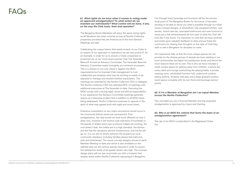#### **61. What rights do we have when it comes to voting under an approved amalgamation? To what extent do we maintain our individuality? What control will we have, if any, on the way the Club looks, feels and operates?**

The Bangalow Bowlo Members will enjoy the same voting rights as all Members that exist currently across all Norths Collective properties provided they are financial as at the time General Meetings are held.

Celebrating the unique history that exists at each of our Clubs is an aspect of our approach to operations we are very proud of. As an example, in order for us to ensure a Clubs uniqueness is protected we, at our most recent partner Club The Verandah Beecroft formed an Advisory Committee. The Verandah Beecroft Advisory Committee meets fortnightly at a minimum at present. This is a chance to not only check in against the MOU requirements but for licensed Club management to truly collaborate and evaluate what may be working or needs to be adjusted to manage and exceed member expectation. The meetings are attended by the Norths Collective CEO or delegate. The Norths Collective CEO has attended 90% of meetings with additional executives at The Verandah to date. Executing the MOU comes with a strong legal, moral and ethical responsibility. In our experience the Advisory Committee meetings generally reduce as it becomes evident that in addition to all MOU items being addressed, Norths Collective continues to operate in the spirit of what was agreed both with legal and moral intent.

Extensive consultation on any major renovations would occur in the community before works are commenced. Post amalgamation, the club would not look much different to how it does now, however it will receive cash injections of hundreds of thousands of dollars each year to ensure fridges are working, the roof doesn't leak, the toilets are to a high standard, the kitchen and bar has the necessary service infrastructure, and the list will go on. It is our aim to simply enhance the property so local community members, including families always feel welcome, safe and entertained. The venue concept designs shared at each Member Meeting to date and which is also available on the website sets out the various spaces required in order to ensure the satisfaction levels of all guests remain very high. The concept design plans will not see us provide you with a footprint that already exists within Norths Collective repurposed in Bangalow.

 $\sim$ 

Fun through food, beverage and functions will be the primary focal point of The Bangalow Bowlo for the future. It has been exciting to be able to show you what's possible through our initial venue concept designs. A refurbished, fully equipped kitchen, new servery, brand new bar, renovated bathrooms and new furniture to name just a few enhancements all form part of what the Club will look like in the future. It is important to note that we have received and acted upon valuable feedback to date and we thank the community for sharing their thoughts on the type of Club they wish to see in Bangalow for decades to come.

Our experience tells us that the more unique spaces we can provide for the diverse groups of people we have residing in our local communities the higher the satisfaction levels and hence the more reasons there are to visit. This is why we have included a small, private space for gaming away from children, a sports bar, sunny deck and lounge overlooking the playing fields, a private meeting room, refurbished function hall, undercover outdoor eating options, fantastic kids play and a large grassed outdoor event space complete with its own food and beverage service points.

#### **62. If I'm a Member of Bangalow am I an equal Member across the Norths Collective?**

Yes, provided you are a financial Member and the proposed amalgamation is approved by Liquor and Gaming.

#### **63. Why is an MOU the vehicle that forms the basis of an amalgamation agreement?**

The use of an MOU is prescribed in the Registered Clubs Act.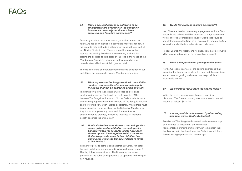### $FAO$

#### **64. What, if any, exit clauses or pathways to de amalgamate are available to The Bangalow Bowlo once an amalgamation has been approved and therefore commenced?**

De-amalgamations are a multifaceted, complex process to follow. As has been highlighted above it is important for Bowlo members to note that a de-amalgamation does not form part of any Norths Strategic plan. There is a legal framework that requires the existing Members to vote on any such motion placing the decision to take steps of this kind in the hands of the Membership. Any MOU presented to Bowlo members for consideration will address this in greater detail.

There is also Brand and reputational damage to consider on our part. It is in our interests to exceed Member expectations.

#### **65. What happens to The Bangalow Bowlo constitution, are there any specific references or tailoring for The Bowlo that will be contained within an MOU?**

It is hard to provide comparisons against a privately-run hotel, however with the information made available through Liquor & Gaming, it has been estimated The Bowlo may put some pressure on the pub's gaming revenue as opposed to drawing all new revenue.

The Bangalow Bowlo Constitution will cease to exist once amalgamation occurs. That said, the drafting of the MOU between The Bangalow Bowlo and Norths Collective is focussed on achieving approval from the Members of The Bangalow Bowlo and therefore is very much tailored accordingly. Whilst there must be consideration for all existing Norths Collective Members, as they too must approve any proposed document for an amalgamation to proceed, a scenario that sees all Members benefit becomes the ultimate aim.

Whilst the past couple of years has seen significant disruption, The Greens typically maintains a level of annual income of at least \$6 - \$7m.

**66. Norths Collective have shared a percentage floor space guide and contribution percentages for Bangalow however no dollar values have been shared against the Bangalow Hotel. Can Norths Collective provide some further detail on how gaming sits within The Bangalow Bowlo in terms of like for like?**

#### **67. Would Renovations in future be staged??**

Yes. Given the level of community engagement with the Club presently, we believe it will be important to stage renovation works. There is a considerable level of works that could be completed outside the Club as an example to prepare the Club for service whilst the internal works are undertaken.

Honour Boards, the history and heritage, front gates etc would all be maintained as part of any renovation proposal.

#### **68. What is the position on gaming for the future?**

Norths Collective is aware of the gaming operations that existed at the Bangalow Bowlo in the past and there will be a modest level of gaming maintained in a responsible and

sustainable manner.

#### **69. How much revenue does The Greens make?**

#### **70. Are we possibly outnumbered by other voting members across Norths Collective?**

Members of The Bangalow Bowlo will maintain ownership and it stands to reason that should the local representation of membership ever wish to heighten their involvement with the direction of the Club, there will likely be very strong representation at meetings.